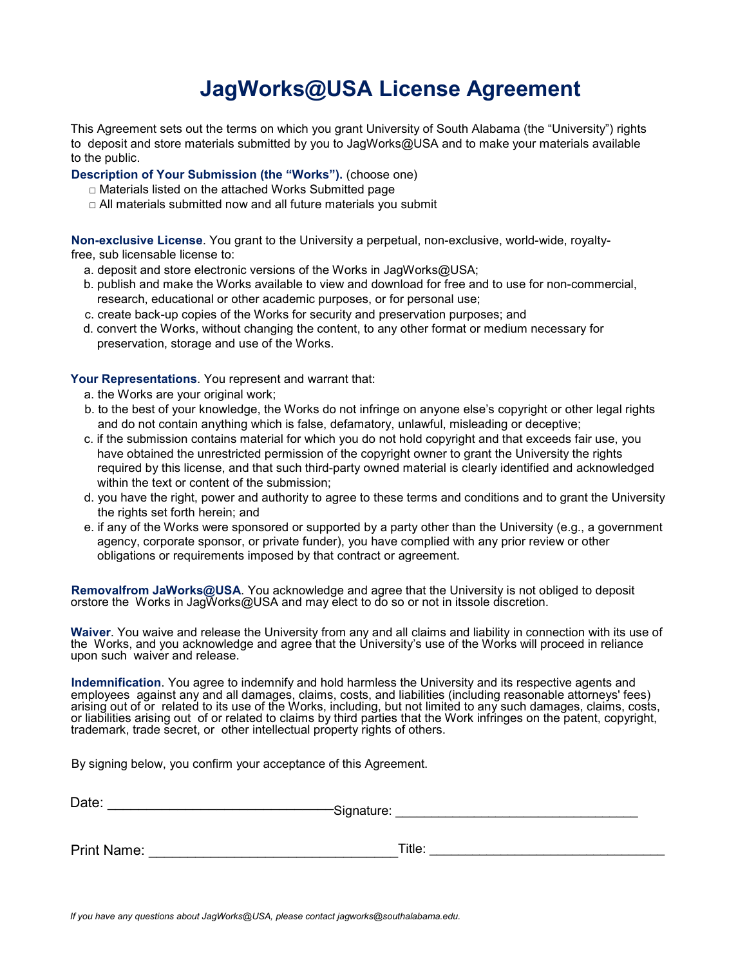## **JagWorks@USA License Agreement**

This Agreement sets out the terms on which you grant University of South Alabama (the "University") rights to deposit and store materials submitted by you to JagWorks@USA and to make your materials available to the public.

**Description of Your Submission (the "Works").** (choose one)

- □ Materials listed on the attached Works Submitted page
- $\Box$  All materials submitted now and all future materials you submit

**Non-exclusive License**. You grant to the University a perpetual, non-exclusive, world-wide, royaltyfree, sub licensable license to:

- a. deposit and store electronic versions of the Works in JagWorks@USA;
- b. publish and make the Works available to view and download for free and to use for non-commercial, research, educational or other academic purposes, or for personal use;
- c. create back-up copies of the Works for security and preservation purposes; and
- d. convert the Works, without changing the content, to any other format or medium necessary for preservation, storage and use of the Works.

**Your Representations**. You represent and warrant that:

- a. the Works are your original work;
- b. to the best of your knowledge, the Works do not infringe on anyone else's copyright or other legal rights and do not contain anything which is false, defamatory, unlawful, misleading or deceptive;
- c. if the submission contains material for which you do not hold copyright and that exceeds fair use, you have obtained the unrestricted permission of the copyright owner to grant the University the rights required by this license, and that such third-party owned material is clearly identified and acknowledged within the text or content of the submission;
- d. you have the right, power and authority to agree to these terms and conditions and to grant the University the rights set forth herein; and
- e. if any of the Works were sponsored or supported by a party other than the University (e.g., a government agency, corporate sponsor, or private funder), you have complied with any prior review or other obligations or requirements imposed by that contract or agreement.

**Removalfrom JaWorks@USA**. You acknowledge and agree that the University is not obliged to deposit orstore the Works in JagWorks@USA and may elect to do so or not in itssole discretion.

**Waiver**. You waive and release the University from any and all claims and liability in connection with its use of the Works, and you acknowledge and agree that the University's use of the Works will proceed in reliance upon such waiver and release.

**Indemnification**. You agree to indemnify and hold harmless the University and its respective agents and employees against any and all damages, claims, costs, and liabilities (including reasonable attorneys' fees) arising out of or related to its use of the Works, including, but not limited to any such damages, claims, costs, or liabilities arising out of or related to claims by third parties that the Work infringes on the patent, copyright, trademark, trade secret, or other intellectual property rights of others.

By signing below, you confirm your acceptance of this Agreement.

| Date:       | -Signature: |        |
|-------------|-------------|--------|
| Print Name: |             | Title: |